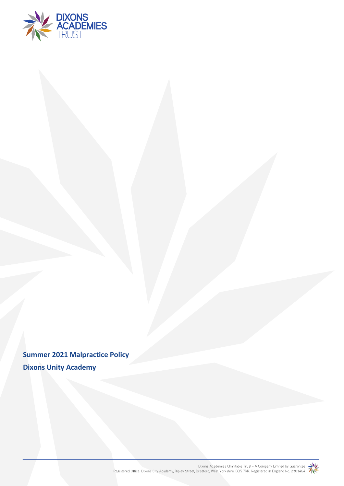

**Summer 2021 Malpractice Policy Dixons Unity Academy**

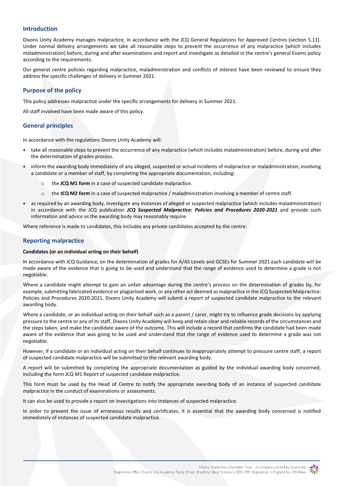## **Introduction**

Dixons Unity Academy manages malpractice, in accordance with the JCQ General Regulations for Approved Centres (section 5.11). Under normal delivery arrangements we take all reasonable steps to prevent the occurrence of any malpractice (which includes maladministration) before, during and after examinations and report and investigate as detailed in the centre's general Exams policy according to the requirements.

Our general centre policies regarding malpractice, maladministration and conflicts of interest have been reviewed to ensure they address the specific challenges of delivery in Summer 2021.

### **Purpose of the policy**

This policy addresses malpractice under the specific arrangements for delivery in Summer 2021.

All staff involved have been made aware of this policy.

## **General principles**

In accordance with the regulations Dixons Unity Academy will:

- take all reasonable steps to prevent the occurrence of any malpractice (which includes maladministration) before, during and after the determination of grades process.
- inform the awarding body immediately of any alleged, suspected or actual incidents of malpractice or maladministration, involving a candidate or a member of staff, by completing the appropriate documentation, including:
	- o the **JCQ M1 form** in a case of suspected candidate malpractice.
	- o the **JCQ M2 form** in a case of suspected malpractice / maladministration involving a member of centre staff.
- as required by an awarding body, investigate any instances of alleged or suspected malpractice (which includes maladministration) in accordance with the JCQ publication *JCQ Suspected Malpractice: Policies and Procedures 2020-2021* and provide such information and advice as the awarding body may reasonably require.

Where reference is made to candidates, this includes any private candidates accepted by the centre.

### **Reporting malpractice**

#### **Candidates (or an individual acting on their behalf)**

In accordance with JCQ Guidance, on the determination of grades for A/AS Levels and GCSEs for Summer 2021 each candidate will be made aware of the evidence that is going to be used and understand that the range of evidence used to determine a grade is not negotiable.

Where a candidate might attempt to gain an unfair advantage during the centre's process on the determination of grades by, for example, submitting fabricated evidence or plagiarised work, or any other act deemed as malpractice in the JCQ Suspected Malpractice: Policies and Procedures 2020-2021, Dixons Unity Academy will submit a report of suspected candidate malpractice to the relevant awarding body.

Where a candidate, or an individual acting on their behalf such as a parent / carer, might try to influence grade decisions by applying pressure to the centre or any of its staff, Dixons Unity Academy will keep and retain clear and reliable records of the circumstances and the steps taken, and make the candidate aware of the outcome. This will include a record that confirms the candidate had been made aware of the evidence that was going to be used and understand that the range of evidence used to determine a grade was not negotiable.

However, if a candidate or an individual acting on their behalf continues to inappropriately attempt to pressure centre staff, a report of suspected candidate malpractice will be submitted to the relevant awarding body.

A report will be submitted by completing the appropriate documentation as guided by the individual awarding body concerned, including the form JCQ M1 Report of suspected candidate malpractice.

This form must be used by the Head of Centre to notify the appropriate awarding body of an instance of suspected candidate malpractice in the conduct of examinations or assessments.

It can also be used to provide a report on investigations into instances of suspected malpractice.

In order to prevent the issue of erroneous results and certificates, it is essential that the awarding body concerned is notified immediately of instances of suspected candidate malpractice.